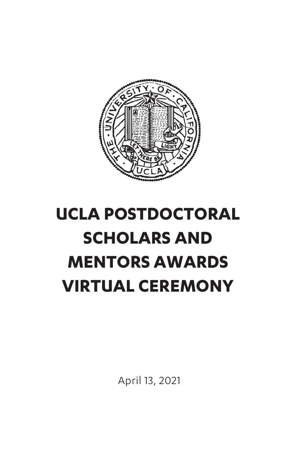

# **UCLA POSTDOCTORAL SCHOLARS AND MENTORS AWARDS VIRTUAL CEREMONY**

April 13, 2021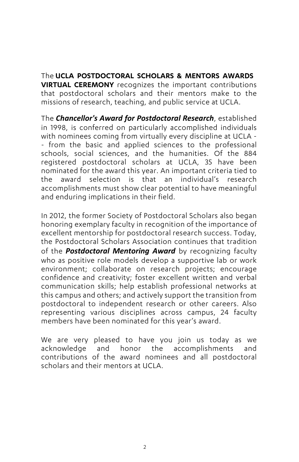The **UCLA POSTDOCTORAL SCHOLARS & MENTORS AWARDS VIRTUAL CEREMONY** recognizes the important contributions that postdoctoral scholars and their mentors make to the missions of research, teaching, and public service at UCLA.

The *Chancellor's Award for Postdoctoral Research*, established in 1998, is conferred on particularly accomplished individuals with nominees coming from virtually every discipline at UCLA - - from the basic and applied sciences to the professional schools, social sciences, and the humanities. Of the 884 registered postdoctoral scholars at UCLA, 35 have been nominated for the award this year. An important criteria tied to the award selection is that an individual's research accomplishments must show clear potential to have meaningful and enduring implications in their field.

In 2012, the former Society of Postdoctoral Scholars also began honoring exemplary faculty in recognition of the importance of excellent mentorship for postdoctoral research success. Today, the Postdoctoral Scholars Association continues that tradition of the *Postdoctoral Mentoring Award* by recognizing faculty who as positive role models develop a supportive lab or work environment; collaborate on research projects; encourage confidence and creativity; foster excellent written and verbal communication skills; help establish professional networks at this campus and others; and actively support the transition from postdoctoral to independent research or other careers. Also representing various disciplines across campus, 24 faculty members have been nominated for this year's award.

We are very pleased to have you join us today as we acknowledge and honor the accomplishments and contributions of the award nominees and all postdoctoral scholars and their mentors at UCLA.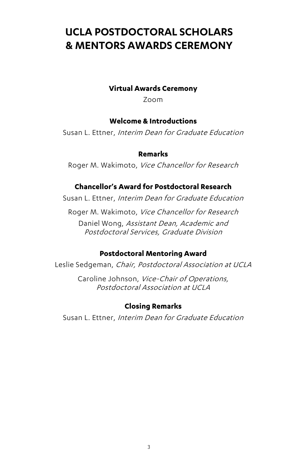# **UCLA POSTDOCTORAL SCHOLARS & MENTORS AWARDS CEREMONY**

#### **Virtual Awards Ceremony**

Zoom

#### **Welcome & Introductions**

Susan L. Ettner, Interim Dean for Graduate Education

#### **Remarks**

Roger M. Wakimoto, Vice Chancellor for Research

#### **Chancellor's Award for Postdoctoral Research**

Susan L. Ettner, Interim Dean for Graduate Education

Roger M. Wakimoto, Vice Chancellor for Research

Daniel Wong, Assistant Dean, Academic and Postdoctoral Services, Graduate Division

#### **Postdoctoral Mentoring Award**

Leslie Sedgeman, Chair, Postdoctoral Association at UCLA

Caroline Johnson, Vice-Chair of Operations, Postdoctoral Association at UCLA

#### **Closing Remarks**

Susan L. Ettner, Interim Dean for Graduate Education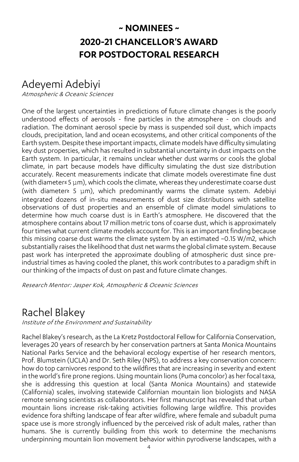### **~ NOMINEES ~ 2020-21 CHANCELLOR'S AWARD FOR POSTDOCTORAL RESEARCH**

### Adeyemi Adebiyi

Atmospheric & Oceanic Sciences

One of the largest uncertainties in predictions of future climate changes is the poorly understood effects of aerosols - fine particles in the atmosphere - on clouds and radiation. The dominant aerosol specie by mass is suspended soil dust, which impacts clouds, precipitation, land and ocean ecosystems, and other critical components of the Earth system. Despite these important impacts, climate models have difficulty simulating key dust properties, which has resulted in substantial uncertainty in dust impacts on the Earth system. In particular, it remains unclear whether dust warms or cools the global climate, in part because models have difficulty simulating the dust size distribution accurately. Recent measurements indicate that climate models overestimate fine dust (with diameter≤ 5 μm), which cools the climate, whereas they underestimate coarse dust (with diameter≥ 5 μm), which predominantly warms the climate system. Adebiyi integrated dozens of in-situ measurements of dust size distributions with satellite observations of dust properties and an ensemble of climate model simulations to determine how much coarse dust is in Earth's atmosphere. He discovered that the atmosphere contains about 17 million metric tons of coarse dust, which is approximately four times what current climate models account for. This is an important finding because this missing coarse dust warms the climate system by an estimated ~0.15 W/m2, which substantially raises the likelihood that dust net warms the global climate system. Because past work has interpreted the approximate doubling of atmospheric dust since preindustrial times as having cooled the planet, this work contributes to a paradigm shift in our thinking of the impacts of dust on past and future climate changes.

Research Mentor: Jasper Kok, Atmospheric & Oceanic Sciences

# Rachel Blakey

Institute of the Environment and Sustainability

Rachel Blakey's research, as the La Kretz Postdoctoral Fellow for California Conservation, leverages 20 years of research by her conservation partners at Santa Monica Mountains National Parks Service and the behavioral ecology expertise of her research mentors, Prof. Blumstein (UCLA) and Dr. Seth Riley (NPS), to address a key conservation concern: how do top carnivores respond to the wildfires that are increasing in severity and extent in the world's fire prone regions. Using mountain lions (Puma concolor) as her focal taxa, she is addressing this question at local (Santa Monica Mountains) and statewide (California) scales, involving statewide Californian mountain lion biologists and NASA remote sensing scientists as collaborators. Her first manuscript has revealed that urban mountain lions increase risk-taking activities following large wildfire. This provides evidence fora shifting landscape of fear after wildfire, where female and subadult puma space use is more strongly influenced by the perceived risk of adult males, rather than humans. She is currently building from this work to determine the mechanisms underpinning mountain lion movement behavior within pyrodiverse landscapes, with a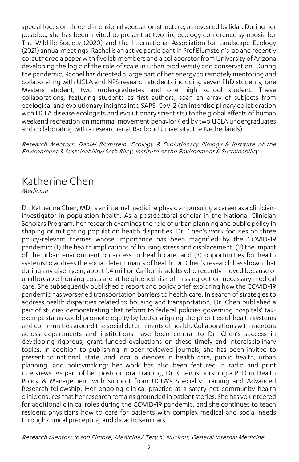special focus on three-dimensional vegetation structure, as revealed by lidar. During her postdoc, she has been invited to present at two fire ecology conference symposia for The Wildlife Society (2020) and the International Association for Landscape Ecology (2021) annual meetings. Rachel is an active participant in Prof Blumstein's lab and recently co-authored a paper with five lab members and a collaborator from University of Arizona developing the logic of the role of scale in urban biodiversity and conservation. During the pandemic, Rachel has directed a large part of her energy to remotely mentoring and collaborating with UCLA and NPS research students including seven PhD students, one Masters student, two undergraduates and one high school student. These collaborations, featuring students as first authors, span an array of subjects from ecological and evolutionary insights into SARS-CoV-2 (an interdisciplinary collaboration with UCLA disease ecologists and evolutionary scientists) to the global effects of human weekend recreation on mammal movement behavior (led by two UCLA undergraduates and collaborating with a researcher at Radboud University, the Netherlands).

Research Mentors: Daniel Blumstein, Ecology & Evolutionary Biology & Institute of the Environment & Sustainability/Seth Riley, Institute of the Environment & Sustainability

# Katherine Chen

Medicine

Dr. Katherine Chen, MD, is an internal medicine physician pursuing a career as a clinicianinvestigator in population health. As a postdoctoral scholar in the National Clinician Scholars Program, her research examines the role of urban planning and public policy in shaping or mitigating population health disparities. Dr. Chen's work focuses on three policy-relevant themes whose importance has been magnified by the COVID-19 pandemic: (1) the health implications of housing stress and displacement, (2) the impact of the urban environment on access to health care, and (3) opportunities for health systems to address the social determinants of health. Dr. Chen's research has shown that during any given year, about 1.4 million California adults who recently moved because of unaffordable housing costs are at heightened risk of missing out on necessary medical care. She subsequently published a report and policy brief exploring how the COVID-19 pandemic has worsened transportation barriers to health care. In search of strategies to address health disparities related to housing and transportation, Dr. Chen published a pair of studies demonstrating that reform to federal policies governing hospitals' taxexempt status could promote equity by better aligning the priorities of health systems and communities around the social determinants of health. Collaborations with mentors across departments and institutions have been central to Dr. Chen's success in developing rigorous, grant-funded evaluations on these timely and interdisciplinary topics. In addition to publishing in peer-reviewed journals, she has been invited to present to national, state, and local audiences in health care, public health, urban planning, and policymaking; her work has also been featured in radio and print interviews. As part of her postdoctoral training, Dr. Chen is pursuing a PhD in Health Policy & Management with support from UCLA's Specialty Training and Advanced Research fellowship. Her ongoing clinical practice at a safety-net community health clinic ensures that her research remains grounded in patient stories. She has volunteered for additional clinical roles during the COVID-19 pandemic, and she continues to teach resident physicians how to care for patients with complex medical and social needs through clinical precepting and didactic seminars.

Research Mentor: Joann Elmore, Medicine/ Tery K. Nuckols, General Internal Medicine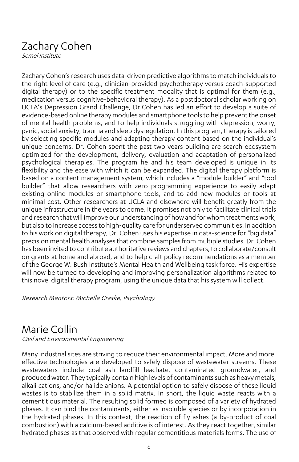# Zachary Cohen

Semel Institute

Zachary Cohen's research uses data-driven predictive algorithms to match individuals to the right level of care (e.g., clinician-provided psychotherapy versus coach-supported digital therapy) or to the specific treatment modality that is optimal for them (e.g., medication versus cognitive-behavioral therapy). As a postdoctoral scholar working on UCLA's Depression Grand Challenge, Dr.Cohen has led an effort to develop a suite of evidence-based online therapy modules and smartphone toolsto help prevent the onset of mental health problems, and to help individuals struggling with depression, worry, panic, social anxiety, trauma and sleep dysregulation. In this program, therapy is tailored by selecting specific modules and adapting therapy content based on the individual's unique concerns. Dr. Cohen spent the past two years building are search ecosystem optimized for the development, delivery, evaluation and adaptation of personalized psychological therapies. The program he and his team developed is unique in its flexibility and the ease with which it can be expanded. The digital therapy platform is based on a content management system, which includes a "module builder" and "tool builder" that allow researchers with zero programming experience to easily adapt existing online modules or smartphone tools, and to add new modules or tools at minimal cost. Other researchers at UCLA and elsewhere will benefit greatly from the unique infrastructure in the years to come. It promises not only to facilitate clinical trials and research that will improve our understanding of how and for whom treatments work, but also to increase access to high-quality care for underserved communities. In addition to his work on digital therapy, Dr. Cohen uses his expertise in data-science for "big data" precision mental health analyses that combine samples from multiple studies. Dr. Cohen has been invited to contribute authoritative reviews and chapters, to collaborate/consult on grants at home and abroad, and to help craft policy recommendations as a member of the George W. Bush Institute's Mental Health and Wellbeing task force. His expertise will now be turned to developing and improving personalization algorithms related to this novel digital therapy program, using the unique data that his system will collect.

Research Mentors: Michelle Craske, Psychology

### Marie Collin

Civil and Environmental Engineering

Many industrial sites are striving to reduce their environmental impact. More and more, effective technologies are developed to safely dispose of wastewater streams. These wastewaters include coal ash landfill leachate, contaminated groundwater, and produced water. They typically contain high levels of contaminants such as heavy metals, alkali cations, and/or halide anions. A potential option to safely dispose of these liquid wastes is to stabilize them in a solid matrix. In short, the liquid waste reacts with a cementitious material. The resulting solid formed is composed of a variety of hydrated phases. It can bind the contaminants, either as insoluble species or by incorporation in the hydrated phases. In this context, the reaction of fly ashes (a by-product of coal combustion) with a calcium-based additive is of interest. As they react together, similar hydrated phases as that observed with regular cementitious materials forms. The use of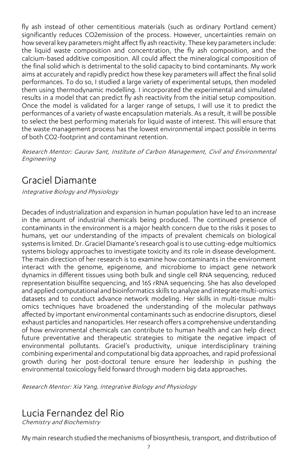fly ash instead of other cementitious materials (such as ordinary Portland cement) significantly reduces CO2emission of the process. However, uncertainties remain on how several key parameters might affect fly ash reactivity. These key parameters include: the liquid waste composition and concentration, the fly ash composition, and the calcium-based additive composition. All could affect the mineralogical composition of the final solid which is detrimental to the solid capacity to bind contaminants. My work aims at accurately and rapidly predict how these key parameters will affect the final solid performances. To do so, I studied a large variety of experimental setups, then modeled them using thermodynamic modelling. I incorporated the experimental and simulated results in a model that can predict fly ash reactivity from the initial setup composition. Once the model is validated for a larger range of setups, I will use it to predict the performances of a variety of waste encapsulation materials. As a result, it will be possible to select the best performing materials for liquid waste of interest. This will ensure that the waste management process has the lowest environmental impact possible in terms of both CO2-footprint and contaminant retention.

Research Mentor: Gaurav Sant, Institute of Carbon Management, Civil and Environmental Engineering

### Graciel Diamante

Integrative Biology and Physiology

Decades of industrialization and expansion in human population have led to an increase in the amount of industrial chemicals being produced. The continued presence of contaminants in the environment is a major health concern due to the risks it poses to humans, yet our understanding of the impacts of prevalent chemicals on biological systems is limited. Dr. Graciel Diamante's research goal is to use cutting-edge multiomics systems biology approaches to investigate toxicity and its role in disease development. The main direction of her research is to examine how contaminants in the environment interact with the genome, epigenome, and microbiome to impact gene network dynamics in different tissues using both bulk and single cell RNA sequencing, reduced representation bisulfite sequencing, and 16S rRNA sequencing. She has also developed and applied computational and bioinformatics skills to analyze and integrate multi-omics datasets and to conduct advance network modeling. Her skills in multi-tissue multiomics techniques have broadened the understanding of the molecular pathways affected by important environmental contaminants such as endocrine disruptors, diesel exhaust particles and nanoparticles. Her research offers a comprehensive understanding of how environmental chemicals can contribute to human health and can help direct future preventative and therapeutic strategies to mitigate the negative impact of environmental pollutants. Graciel's productivity, unique interdisciplinary training combining experimental and computational big data approaches, and rapid professional growth during her post-doctoral tenure ensure her leadership in pushing the environmental toxicology field forward through modern big data approaches.

Research Mentor: Xia Yang, Integrative Biology and Physiology

### Lucia Fernandez del Rio

Chemistry and Biochemistry

My main research studied the mechanisms of biosynthesis, transport, and distribution of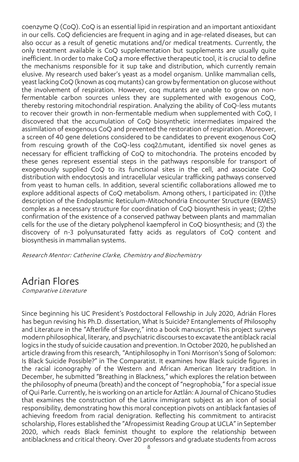coenzyme Q (CoQ). CoQ is an essential lipid in respiration and an important antioxidant in our cells. CoQ deficiencies are frequent in aging and in age-related diseases, but can also occur as a result of genetic mutations and/or medical treatments. Currently, the only treatment available is CoQ supplementation but supplements are usually quite inefficient. In order to make CoQ a more effective therapeutic tool, it is crucial to define the mechanisms responsible for it sup take and distribution, which currently remain elusive. My research used baker's yeast as a model organism. Unlike mammalian cells, yeastlacking CoQ (known as coq mutants) can grow by fermentation on glucose without the involvement of respiration. However, coq mutants are unable to grow on nonfermentable carbon sources unless they are supplemented with exogenous CoQ, thereby restoring mitochondrial respiration. Analyzing the ability of CoQ-less mutants to recover their growth in non-fermentable medium when supplemented with CoQ, I discovered that the accumulation of CoQ biosynthetic intermediates impaired the assimilation of exogenous CoQ and prevented the restoration of respiration. Moreover, a screen of 40 gene deletions considered to be candidates to prevent exogenous CoQ from rescuing growth of the CoQ-less coq2Δmutant, identified six novel genes as necessary for efficient trafficking of CoQ to mitochondria. The proteins encoded by these genes represent essential steps in the pathways responsible for transport of exogenously supplied CoQ to its functional sites in the cell, and associate CoQ distribution with endocytosis and intracellular vesicular trafficking pathways conserved from yeast to human cells. In addition, several scientific collaborations allowed me to explore additional aspects of CoQ metabolism. Among others, I participated in: (1)the description of the Endoplasmic Reticulum-Mitochondria Encounter Structure (ERMES) complex as a necessary structure for coordination of CoQ biosynthesis in yeast; (2)the confirmation of the existence of a conserved pathway between plants and mammalian cells for the use of the dietary polyphenol kaempferol in CoQ biosynthesis; and (3) the discovery of n-3 polyunsaturated fatty acids as regulators of CoQ content and biosynthesis in mammalian systems.

Research Mentor: Catherine Clarke, Chemistry and Biochemistry

### Adrian Flores

Comparative Literature

Since beginning his UC President's Postdoctoral Fellowship in July 2020, Adrián Flores has begun revising his Ph.D. dissertation, What Is Suicide? Entanglements of Philosophy and Literature in the "Afterlife of Slavery," into a book manuscript. This project surveys modern philosophical, literary, and psychiatric discourses to excavate the antiblack racial logics in the study of suicide causation and prevention. In October 2020, he published an article drawing from this research, "Antiphilosophy in Toni Morrison's Song of Solomon: Is Black Suicide Possible?" in The Comparatist. It examines how Black suicide figures in the racial iconography of the Western and African American literary tradition. In December, he submitted "Breathing in Blackness," which explores the relation between the philosophy of pneuma (breath) and the concept of "negrophobia," for a special issue of Qui Parle. Currently, he is working on an article for Aztlán: A Journal of Chicano Studies that examines the construction of the Latinx immigrant subject as an icon of social responsibility, demonstrating how this moral conception pivots on antiblack fantasies of achieving freedom from racial denigration. Reflecting his commitment to antiracist scholarship, Flores established the "Afropessimist Reading Group at UCLA" in September 2020, which reads Black feminist thought to explore the relationship between antiblackness and critical theory. Over 20 professors and graduate students from across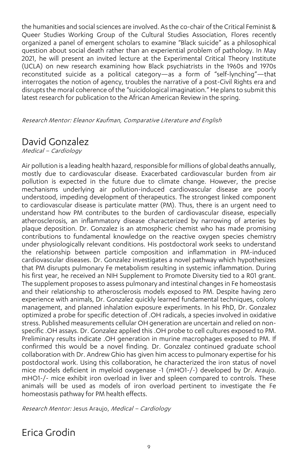the humanities and social sciences are involved. As the co-chair of the Critical Feminist & Queer Studies Working Group of the Cultural Studies Association, Flores recently organized a panel of emergent scholars to examine "Black suicide" as a philosophical question about social death rather than an experiential problem of pathology. In May 2021, he will present an invited lecture at the Experimental Critical Theory Institute (UCLA) on new research examining how Black psychiatrists in the 1960s and 1970s reconstituted suicide as a political category—as a form of "self-lynching"—that interrogates the notion of agency, troubles the narrative of a post-Civil Rights era and disrupts the moral coherence of the "suicidological imagination." He plans to submit this latest research for publication to the African American Review in the spring.

Research Mentor: Eleanor Kaufman, Comparative Literature and English

### David Gonzalez

Medical – Cardiology

Air pollution is a leading health hazard, responsible for millions of global deaths annually, mostly due to cardiovascular disease. Exacerbated cardiovascular burden from air pollution is expected in the future due to climate change. However, the precise mechanisms underlying air pollution-induced cardiovascular disease are poorly understood, impeding development of therapeutics. The strongest linked component to cardiovascular disease is particulate matter (PM). Thus, there is an urgent need to understand how PM contributes to the burden of cardiovascular disease, especially atherosclerosis, an inflammatory disease characterized by narrowing of arteries by plaque deposition. Dr. Gonzalez is an atmospheric chemist who has made promising contributions to fundamental knowledge on the reactive oxygen species chemistry under physiologically relevant conditions. His postdoctoral work seeks to understand the relationship between particle composition and inflammation in PM-induced cardiovascular diseases. Dr. Gonzalez investigates a novel pathway which hypothesizes that PM disrupts pulmonary Fe metabolism resulting in systemic inflammation. During his first year, he received an NIH Supplement to Promote Diversity tied to a R01 grant. The supplement proposes to assess pulmonary and intestinal changes in Fe homeostasis and their relationship to atherosclerosis models exposed to PM. Despite having zero experience with animals, Dr. Gonzalez quickly learned fundamental techniques, colony management, and planned inhalation exposure experiments. In his PhD, Dr. Gonzalez optimized a probe for specific detection of .OH radicals, a species involved in oxidative stress. Published measurements cellular OH generation are uncertain and relied on nonspecific .OH assays. Dr. Gonzalez applied this .OH probe to cell cultures exposed to PM. Preliminary results indicate .OH generation in murine macrophages exposed to PM. If confirmed this would be a novel finding. Dr. Gonzalez continued graduate school collaboration with Dr. Andrew Ghio has given him access to pulmonary expertise for his postdoctoral work. Using this collaboration, he characterized the iron status of novel mice models deficient in myeloid oxygenase -1 (mHO1-/-) developed by Dr. Araujo. mHO1-/- mice exhibit iron overload in liver and spleen compared to controls. These animals will be used as models of iron overload pertinent to investigate the Fe homeostasis pathway for PM health effects.

Research Mentor: Jesus Araujo, Medical – Cardiology

Erica Grodin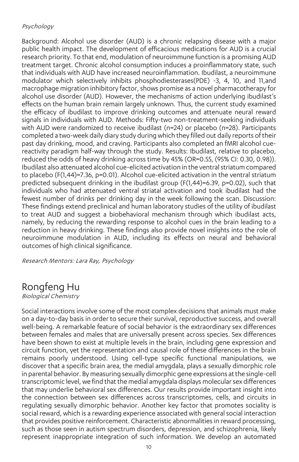#### Psychology

Background: Alcohol use disorder (AUD) is a chronic relapsing disease with a major public health impact. The development of efficacious medications for AUD is a crucial research priority. To that end, modulation of neuroimmune function is a promising AUD treatment target. Chronic alcohol consumption induces a proinflammatory state, such that individuals with AUD have increased neuroinflammation. Ibudilast, a neuroimmune modulator which selectively inhibits phosphodiesterases(PDE) -3, 4, 10, and 11,and macrophage migration inhibitory factor, shows promise as a novel pharmacotherapy for alcohol use disorder (AUD). However, the mechanisms of action underlying ibudilast's effects on the human brain remain largely unknown. Thus, the current study examined the efficacy of ibudilast to improve drinking outcomes and attenuate neural reward signals in individuals with AUD. Methods: Fifty-two non-treatment-seeking individuals with AUD were randomized to receive ibudilast (n=24) or placebo (n=28). Participants completed a two-week daily diary study during which they filled out daily reports of their past day drinking, mood, and craving. Participants also completed an fMRI alcohol cuereactivity paradigm half-way through the study. Results: Ibudilast, relative to placebo, reduced the odds of heavy drinking across time by 45% (OR=0.55, (95% CI: 0.30, 0.98)). Ibudilast also attenuated alcohol cue-elicited activation in the ventral striatum compared to placebo (F(1,44)=7.36, p=0.01). Alcohol cue-elicited activation in the ventral striatum predicted subsequent drinking in the ibudilast group (F(1,44)=6.39, p=0.02), such that individuals who had attenuated ventral striatal activation and took ibudilast had the fewest number of drinks per drinking day in the week following the scan. Discussion: These findings extend preclinical and human laboratory studies of the utility of ibudilast to treat AUD and suggest a biobehavioral mechanism through which ibudilast acts, namely, by reducing the rewarding response to alcohol cues in the brain leading to a reduction in heavy drinking. These findings also provide novel insights into the role of neuroimmune modulation in AUD, including its effects on neural and behavioral outcomes of high clinical significance.

Research Mentors: Lara Ray, Psychology

### Rongfeng Hu

Biological Chemistry

Social interactions involve some of the most complex decisions that animals must make on a day-to-day basis in order to secure their survival, reproductive success, and overall well-being. A remarkable feature of social behavior is the extraordinary sex differences between females and males that are universally present across species. Sex differences have been shown to exist at multiple levels in the brain, including gene expression and circuit function, yet the representation and causal role of these differences in the brain remains poorly understood. Using cell-type specific functional manipulations, we discover that a specific brain area, the medial amygdala, plays a sexually dimorphic role in parental behavior. By measuring sexually dimorphic gene expressions at the single-cell transcriptomic level, we find that the medial amygdala displays molecular sex differences that may underlie behavioral sex differences. Our results provide important insight into the connection between sex differences across transcriptomes, cells, and circuits in regulating sexually dimorphic behavior. Another key factor that promotes sociality is social reward, which is a rewarding experience associated with general social interaction that provides positive reinforcement. Characteristic abnormalities in reward processing, such as those seen in autism spectrum disorders, depression, and schizophrenia, likely represent inappropriate integration of such information. We develop an automated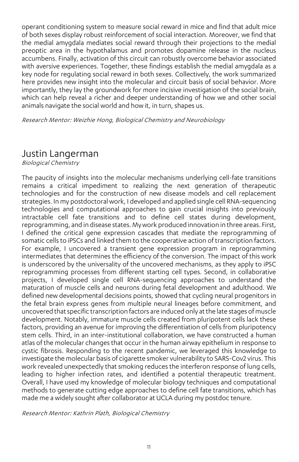operant conditioning system to measure social reward in mice and find that adult mice of both sexes display robust reinforcement of social interaction. Moreover, we find that the medial amygdala mediates social reward through their projections to the medial preoptic area in the hypothalamus and promotes dopamine release in the nucleus accumbens. Finally, activation of this circuit can robustly overcome behavior associated with aversive experiences. Together, these findings establish the medial amygdala as a key node for regulating social reward in both sexes. Collectively, the work summarized here provides new insight into the molecular and circuit basis of social behavior. More importantly, they lay the groundwork for more incisive investigation of the social brain, which can help reveal a richer and deeper understanding of how we and other social animals navigate the social world and how it, in turn, shapes us.

Research Mentor: Weizhie Hong, Biological Chemistry and Neurobiology

#### Justin Langerman

Biological Chemistry

The paucity of insights into the molecular mechanisms underlying cell-fate transitions remains a critical impediment to realizing the next generation of therapeutic technologies and for the construction of new disease models and cell replacement strategies. In my postdoctoral work, I developed and applied single cell RNA-sequencing technologies and computational approaches to gain crucial insights into previously intractable cell fate transitions and to define cell states during development, reprogramming, and in disease states. My work produced innovation in three areas. First, I defined the critical gene expression cascades that mediate the reprogramming of somatic cells to iPSCs and linked them to the cooperative action of transcription factors. For example, I uncovered a transient gene expression program in reprogramming intermediates that determines the efficiency of the conversion. The impact of this work is underscored by the universality of the uncovered mechanisms, as they apply to iPSC reprogramming processes from different starting cell types. Second, in collaborative projects, I developed single cell RNA-sequencing approaches to understand the maturation of muscle cells and neurons during fetal development and adulthood. We defined new developmental decisions points, showed that cycling neural progenitors in the fetal brain express genes from multiple neural lineages before commitment, and uncovered that specific transcription factors are induced only at the late stages of muscle development. Notably, immature muscle cells created from pluripotent cells lack these factors, providing an avenue for improving the differentiation of cells from pluripotency stem cells. Third, in an inter-institutional collaboration, we have constructed a human atlas of the molecular changes that occur in the human airway epithelium in response to cystic fibrosis. Responding to the recent pandemic, we leveraged this knowledge to investigate the molecular basis of cigarette smoker vulnerability to SARS-Cov2 virus. This work revealed unexpectedly that smoking reduces the interferon response of lung cells, leading to higher infection rates, and identified a potential therapeutic treatment. Overall, I have used my knowledge of molecular biology techniques and computational methods to generate cutting edge approaches to define cell fate transitions, which has made me a widely sought after collaborator at UCLA during my postdoc tenure.

Research Mentor: Kathrin Plath, Biological Chemistry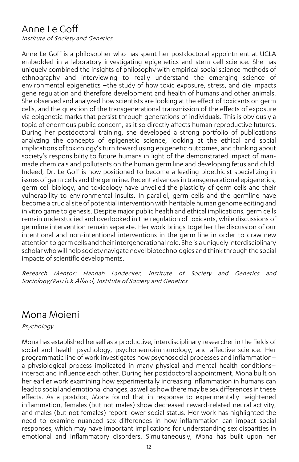### Anne Le Goff

Institute of Society and Genetics

Anne Le Goff is a philosopher who has spent her postdoctoral appointment at UCLA embedded in a laboratory investigating epigenetics and stem cell science. She has uniquely combined the insights of philosophy with empirical social science methods of ethnography and interviewing to really understand the emerging science of environmental epigenetics –the study of how toxic exposure, stress, and die impacts gene regulation and therefore development and health of humans and other animals. She observed and analyzed how scientists are looking at the effect of toxicants on germ cells, and the question of the transgenerational transmission of the effects of exposure via epigenetic marks that persist through generations of individuals. This is obviously a topic of enormous public concern, as it so directly affects human reproductive futures. During her postdoctoral training, she developed a strong portfolio of publications analyzing the concepts of epigenetic science, looking at the ethical and social implications of toxicology's turn toward using epigenetic outcomes, and thinking about society's responsibility to future humans in light of the demonstrated impact of manmade chemicals and pollutants on the human germ line and developing fetus and child. Indeed, Dr. Le Goff is now positioned to become a leading bioethicist specializing in issues of germ cells and the germline. Recent advances in transgenerational epigenetics, germ cell biology, and toxicology have unveiled the plasticity of germ cells and their vulnerability to environmental insults. In parallel, germ cells and the germline have become a crucial site of potential intervention with heritable human genome editing and in vitro game to genesis. Despite major public health and ethical implications, germ cells remain understudied and overlooked in the regulation of toxicants, while discussions of germline intervention remain separate. Her work brings together the discussion of our intentional and non-intentional interventions in the germ line in order to draw new attention to germ cells and their intergenerational role. She is a uniquely interdisciplinary scholarwho will help society navigate novel biotechnologies and think through the social impacts of scientific developments.

Research Mentor: Hannah Landecker, Institute of Society and Genetics and Sociology/Patrick Allard, Institute of Society and Genetics

### Mona Moieni

Psychology

Mona has established herself as a productive, interdisciplinary researcher in the fields of social and health psychology, psychoneuroimmunology, and affective science. Her programmatic line of work investigates how psychosocial processes and inflammation– a physiological process implicated in many physical and mental health conditions– interact and influence each other. During her postdoctoral appointment, Mona built on her earlier work examining how experimentally increasing inflammation in humans can lead to social and emotional changes, as well as how there may be sex differences in these effects. As a postdoc, Mona found that in response to experimentally heightened inflammation, females (but not males) show decreased reward-related neural activity, and males (but not females) report lower social status. Her work has highlighted the need to examine nuanced sex differences in how inflammation can impact social responses, which may have important implications for understanding sex disparities in emotional and inflammatory disorders. Simultaneously, Mona has built upon her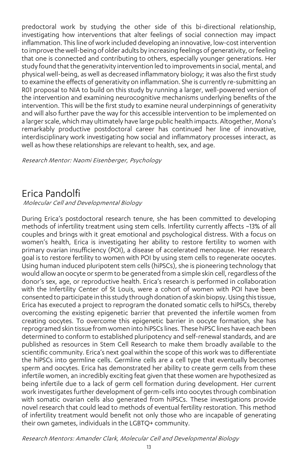predoctoral work by studying the other side of this bi-directional relationship, investigating how interventions that alter feelings of social connection may impact inflammation. This line of work included developing an innovative, low-cost intervention to improve the well-being of older adults by increasing feelings of generativity, or feeling that one is connected and contributing to others, especially younger generations. Her study found that the generativity intervention led to improvements in social, mental, and physical well-being, as well as decreased inflammatory biology; it was also the first study to examine the effects of generativity on inflammation. She is currently re-submitting an R01 proposal to NIA to build on this study by running a larger, well-powered version of the intervention and examining neurocognitive mechanisms underlying benefits of the intervention. This will be the first study to examine neural underpinnings of generativity and will also further pave the way for this accessible intervention to be implemented on a larger scale, which may ultimately have large public health impacts. Altogether, Mona's remarkably productive postdoctoral career has continued her line of innovative, interdisciplinary work investigating how social and inflammatory processes interact, as well as how these relationships are relevant to health, sex, and age.

Research Mentor: Naomi Eisenberger, Psychology

### Erica Pandolfi

Molecular Cell and Developmental Biology

During Erica's postdoctoral research tenure, she has been committed to developing methods of infertility treatment using stem cells. Infertility currently affects ~13% of all couples and brings with it great emotional and psychological distress. With a focus on women's health, Erica is investigating her ability to restore fertility to women with primary ovarian insufficiency (POI), a disease of accelerated menopause. Her research goal is to restore fertility to women with POI by using stem cells to regenerate oocytes. Using human induced pluripotent stem cells (hiPSCs), she is pioneering technology that would allow an oocyte or sperm to be generated from a simple skin cell, regardless of the donor's sex, age, or reproductive health. Erica's research is performed in collaboration with the Infertility Center of St Louis, were a cohort of women with POI have been consented to participate in this study through donation of a skin biopsy. Using this tissue, Erica has executed a project to reprogram the donated somatic cells to hiPSCs, thereby overcoming the existing epigenetic barrier that prevented the infertile women from creating oocytes. To overcome this epigenetic barrier in oocyte formation, she has reprogramed skin tissue from women into hiPSCs lines. These hiPSC lines have each been determined to conform to established pluripotency and self-renewal standards, and are published as resources in Stem Cell Research to make them broadly available to the scientific community. Erica's next goal within the scope of this work was to differentiate the hiPSCs into germline cells. Germline cells are a cell type that eventually becomes sperm and oocytes. Erica has demonstrated her ability to create germ cells from these infertile women, an incredibly exciting feat given that these women are hypothesized as being infertile due to a lack of germ cell formation during development. Her current work investigates further development of germ-cells into oocytes through combination with somatic ovarian cells also generated from hiPSCs. These investigations provide novel research that could lead to methods of eventual fertility restoration. This method of infertility treatment would benefit not only those who are incapable of generating their own gametes, individuals in the LGBTQ+ community.

Research Mentors: Amander Clark, Molecular Cell and Developmental Biology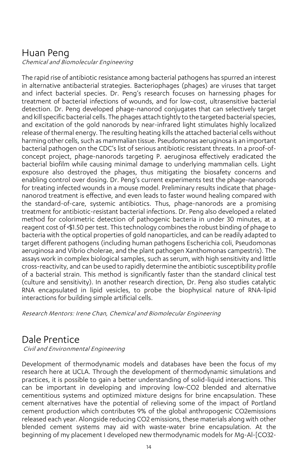### Huan Peng

Chemical and Biomolecular Engineering

The rapid rise of antibiotic resistance among bacterial pathogens has spurred an interest in alternative antibacterial strategies. Bacteriophages (phages) are viruses that target and infect bacterial species. Dr. Peng's research focuses on harnessing phages for treatment of bacterial infections of wounds, and for low-cost, ultrasensitive bacterial detection. Dr. Peng developed phage-nanorod conjugates that can selectively target and kill specific bacterial cells. The phages attach tightly to the targeted bacterial species, and excitation of the gold nanorods by near-infrared light stimulates highly localized release of thermal energy. The resulting heating kills the attached bacterial cells without harming other cells, such as mammalian tissue. Pseudomonas aeruginosa is an important bacterial pathogen on the CDC's list of serious antibiotic resistant threats. In a proof-ofconcept project, phage-nanorods targeting P. aeruginosa effectively eradicated the bacterial biofilm while causing minimal damage to underlying mammalian cells. Light exposure also destroyed the phages, thus mitigating the biosafety concerns and enabling control over dosing. Dr. Peng's current experiments test the phage-nanorods for treating infected wounds in a mouse model. Preliminary results indicate that phagenanorod treatment is effective, and even leads to faster wound healing compared with the standard-of-care, systemic antibiotics. Thus, phage-nanorods are a promising treatment for antibiotic-resistant bacterial infections. Dr. Peng also developed a related method for colorimetric detection of pathogenic bacteria in under 30 minutes, at a reagent cost of <\$1.50 per test. This technology combines the robust binding of phage to bacteria with the optical properties of gold nanoparticles, and can be readily adapted to target different pathogens (including human pathogens Escherichia coli, Pseudomonas aeruginosa and Vibrio cholerae, and the plant pathogen Xanthomonas campestris). The assays work in complex biological samples, such as serum, with high sensitivity and little cross-reactivity, and can be used to rapidly determine the antibiotic susceptibility profile of a bacterial strain. This method is significantly faster than the standard clinical test (culture and sensitivity). In another research direction, Dr. Peng also studies catalytic RNA encapsulated in lipid vesicles, to probe the biophysical nature of RNA-lipid interactions for building simple artificial cells.

Research Mentors: Irene Chan, Chemical and Biomolecular Engineering

### Dale Prentice

Civil and Environmental Engineering

Development of thermodynamic models and databases have been the focus of my research here at UCLA. Through the development of thermodynamic simulations and practices, it is possible to gain a better understanding of solid-liquid interactions. This can be important in developing and improving low-CO2 blended and alternative cementitious systems and optimized mixture designs for brine encapsulation. These cement alternatives have the potential of relieving some of the impact of Portland cement production which contributes 9% of the global anthropogenic CO2emissions released each year. Alongside reducing CO2 emissions, these materials along with other blended cement systems may aid with waste-water brine encapsulation. At the beginning of my placement I developed new thermodynamic models for Mg-Al-[CO32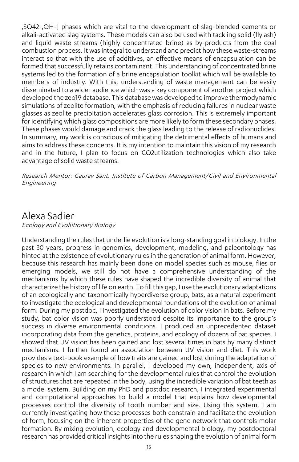,SO42-,OH-] phases which are vital to the development of slag-blended cements or alkali-activated slag systems. These models can also be used with tackling solid (fly ash) and liquid waste streams (highly concentrated brine) as by-products from the coal combustion process. It was integral to understand and predict how these waste-streams interact so that with the use of additives, an effective means of encapsulation can be formed that successfully retains contaminant. This understanding of concentrated brine systems led to the formation of a brine encapsulation toolkit which will be available to members of industry. With this, understanding of waste management can be easily disseminated to a wider audience which was a key component of another project which developed the zeo19 database. This database was developed to improve thermodynamic simulations of zeolite formation, with the emphasis of reducing failures in nuclear waste glasses as zeolite precipitation accelerates glass corrosion. This is extremely important for identifying which glass compositions are more likely to form these secondary phases. These phases would damage and crack the glass leading to the release of radionuclides. In summary, my work is conscious of mitigating the detrimental effects of humans and aims to address these concerns. It is my intention to maintain this vision of my research and in the future, I plan to focus on CO2utilization technologies which also take advantage of solid waste streams.

Research Mentor: Gaurav Sant, Institute of Carbon Management/Civil and Environmental Engineering

#### Alexa Sadier

Ecology and Evolutionary Biology

Understanding the rules that underlie evolution is a long-standing goal in biology. In the past 30 years, progress in genomics, development, modeling, and paleontology has hinted at the existence of evolutionary rules in the generation of animal form. However, because this research has mainly been done on model species such as mouse, flies or emerging models, we still do not have a comprehensive understanding of the mechanisms by which these rules have shaped the incredible diversity of animal that characterize the history of life on earth. To fill this gap, I use the evolutionary adaptations of an ecologically and taxonomically hyperdiverse group, bats, as a natural experiment to investigate the ecological and developmental foundations of the evolution of animal form. During my postdoc, I investigated the evolution of color vision in bats. Before my study, bat color vision was poorly understood despite its importance to the group's success in diverse environmental conditions. I produced an unprecedented dataset incorporating data from the genetics, proteins, and ecology of dozens of bat species. I showed that UV vision has been gained and lost several times in bats by many distinct mechanisms. I further found an association between UV vision and diet. This work provides a text-book example of how traits are gained and lost during the adaptation of species to new environments. In parallel, I developed my own, independent, axis of research in which I am searching for the developmental rules that control the evolution of structures that are repeated in the body, using the incredible variation of bat teeth as a model system. Building on my PhD and postdoc research, I integrated experimental and computational approaches to build a model that explains how developmental processes control the diversity of tooth number and size. Using this system, I am currently investigating how these processes both constrain and facilitate the evolution of form, focusing on the inherent properties of the gene network that controls molar formation. By mixing evolution, ecology and developmental biology, my postdoctoral research has provided critical insights into the rules shaping the evolution of animal form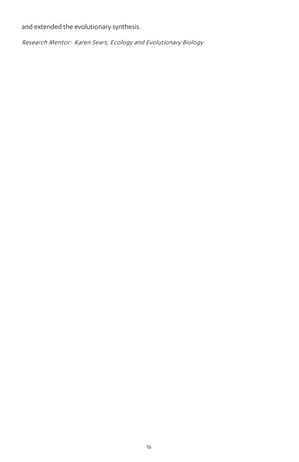and extended the evolutionary synthesis.

Research Mentor: Karen Sears, Ecology and Evolutionary Biology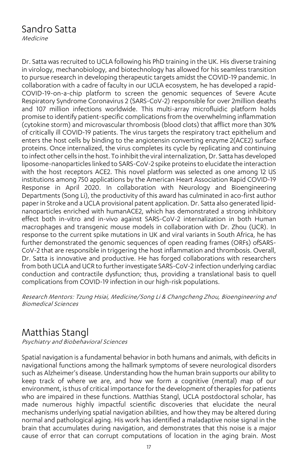# Sandro Satta

Medicine

Dr. Satta was recruited to UCLA following his PhD training in the UK. His diverse training in virology, mechanobiology, and biotechnology has allowed for his seamless transition to pursue research in developing therapeutic targets amidst the COVID-19 pandemic. In collaboration with a cadre of faculty in our UCLA ecosystem, he has developed a rapid-COVID-19-on-a-chip platform to screen the genomic sequences of Severe Acute Respiratory Syndrome Coronavirus 2 (SARS-CoV-2) responsible for over 2million deaths and 107 million infections worldwide. This multi-array microfluidic platform holds promise to identify patient-specific complications from the overwhelming inflammation (cytokine storm) and microvascular thrombosis (blood clots) that afflict more than 30% of critically ill COVID-19 patients. The virus targets the respiratory tract epithelium and enters the host cells by binding to the angiotensin converting enzyme 2(ACE2) surface proteins. Once internalized, the virus completes its cycle by replicating and continuing to infect other cells in the host. To inhibit the viral internalization, Dr. Satta has developed liposome-nanoparticles linked to SARS-CoV-2 spike proteins to elucidate the interaction with the host receptors ACE2. This novel platform was selected as one among 12 US institutions among 750 applications by the American Heart Association Rapid COVID-19 Response in April 2020. In collaboration with Neurology and Bioengineering Departments (Song Li), the productivity of this award has culminated in aco-first author paper in Stroke and a UCLA provisional patent application. Dr. Satta also generated lipidnanoparticles enriched with humanACE2, which has demonstrated a strong inhibitory effect both in-vitro and in-vivo against SARS-CoV-2 internalization in both Human macrophages and transgenic mouse models in collaboration with Dr. Zhou (UCR). In response to the current spike mutations in UK and viral variants in South Africa, he has further demonstrated the genomic sequences of open reading frames (ORFs) ofSARS-CoV-2 that are responsible in triggering the host inflammation and thrombosis. Overall, Dr. Satta is innovative and productive. He has forged collaborations with researchers from both UCLA and UCR to further investigate SARS-CoV-2 infection underlying cardiac conduction and contractile dysfunction; thus, providing a translational basis to quell complications from COVID-19 infection in our high-risk populations.

Research Mentors: Tzung Hsiai, Medicine/Song Li & Changcheng Zhou, Bioengineering and Biomedical Sciences

### Matthias Stangl

Psychiatry and Biobehavioral Sciences

Spatial navigation is a fundamental behavior in both humans and animals, with deficits in navigational functions among the hallmark symptoms of severe neurological disorders such as Alzheimer's disease. Understanding how the human brain supports our ability to keep track of where we are, and how we form a cognitive (mental) map of our environment, is thus of critical importance for the development of therapiesfor patients who are impaired in these functions. Matthias Stangl, UCLA postdoctoral scholar, has made numerous highly impactful scientific discoveries that elucidate the neural mechanisms underlying spatial navigation abilities, and how they may be altered during normal and pathological aging. His work has identified a maladaptive noise signal in the brain that accumulates during navigation, and demonstrates that this noise is a major cause of error that can corrupt computations of location in the aging brain. Most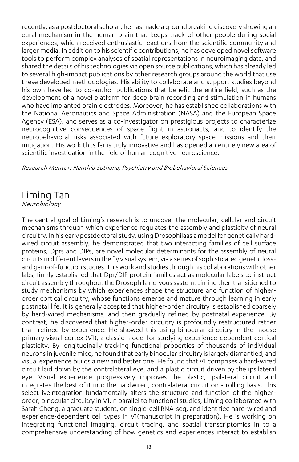recently, as a postdoctoral scholar, he has made a groundbreaking discovery showing an eural mechanism in the human brain that keeps track of other people during social experiences, which received enthusiastic reactions from the scientific community and larger media. In addition to his scientific contributions, he has developed novel software tools to perform complex analyses of spatial representations in neuroimaging data, and shared the details of his technologies via open source publications, which has already led to several high-impact publications by other research groups around the world that use these developed methodologies. His ability to collaborate and support studies beyond his own have led to co-author publications that benefit the entire field, such as the development of a novel platform for deep brain recording and stimulation in humans who have implanted brain electrodes. Moreover, he has established collaborations with the National Aeronautics and Space Administration (NASA) and the European Space Agency (ESA), and serves as a co-investigator on prestigious projects to characterize neurocognitive consequences of space flight in astronauts, and to identify the neurobehavioral risks associated with future exploratory space missions and their mitigation. His work thus far is truly innovative and has opened an entirely new area of scientific investigation in the field of human cognitive neuroscience.

Research Mentor: Nanthia Suthana, Psychiatry and Biobehavioral Sciences

#### Liming Tan

Neurobiology

The central goal of Liming's research is to uncover the molecular, cellular and circuit mechanisms through which experience regulates the assembly and plasticity of neural circuitry. In his early postdoctoral study, using Drosophilaas a model for genetically hardwired circuit assembly, he demonstrated that two interacting families of cell surface proteins, Dprs and DIPs, are novel molecular determinants for the assembly of neural circuits in different layersin the fly visual system, via a series of sophisticated genetic lossand gain-of-function studies. This work and studiesthrough his collaborations with other labs, firmly established that Dpr/DIP protein families act as molecular labels to instruct circuit assembly throughout the Drosophila nervous system. Liming then transitioned to study mechanisms by which experiences shape the structure and function of higherorder cortical circuitry, whose functions emerge and mature through learning in early postnatal life. It is generally accepted that higher-order circuitry is established coarsely by hard-wired mechanisms, and then gradually refined by postnatal experience. By contrast, he discovered that higher-order circuitry is profoundly restructured rather than refined by experience. He showed this using binocular circuitry in the mouse primary visual cortex (V1), a classic model for studying experience-dependent cortical plasticity. By longitudinally tracking functional properties of thousands of individual neurons in juvenile mice, he found that early binocular circuitry is largely dismantled, and visual experience builds a new and better one. He found that V1 comprises a hard-wired circuit laid down by the contralateral eye, and a plastic circuit driven by the ipsilateral eye. Visual experience progressively improves the plastic, ipsilateral circuit and integrates the best of it into the hardwired, contralateral circuit on a rolling basis. This select iveintegration fundamentally alters the structure and function of the higherorder, binocular circuitry in V1.In parallel to functional studies, Liming collaborated with Sarah Cheng, a graduate student, on single-cell RNA-seq, and identified hard-wired and experience-dependent cell types in V1(manuscript in preparation). He is working on integrating functional imaging, circuit tracing, and spatial transcriptomics in to a comprehensive understanding of how genetics and experiences interact to establish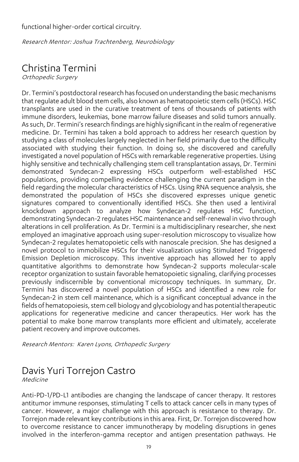functional higher-order cortical circuitry.

Research Mentor: Joshua Trachtenberg, Neurobiology

# Christina Termini

Orthopedic Surgery

Dr. Termini's postdoctoral research has focused on understanding the basic mechanisms that regulate adult blood stem cells, also known as hematopoietic stem cells (HSCs). HSC transplants are used in the curative treatment of tens of thousands of patients with immune disorders, leukemias, bone marrow failure diseases and solid tumors annually. As such, Dr. Termini's research findings are highly significant in the realm of regenerative medicine. Dr. Termini has taken a bold approach to address her research question by studying a class of molecules largely neglected in her field primarily due to the difficulty associated with studying their function. In doing so, she discovered and carefully investigated a novel population of HSCs with remarkable regenerative properties. Using highly sensitive and technically challenging stem cell transplantation assays, Dr. Termini demonstrated Syndecan-2 expressing HSCs outperform well-established HSC populations, providing compelling evidence challenging the current paradigm in the field regarding the molecular characteristics of HSCs. Using RNA sequence analysis, she demonstrated the population of HSCs she discovered expresses unique genetic signatures compared to conventionally identified HSCs. She then used a lentiviral knockdown approach to analyze how Syndecan-2 regulates HSC function, demonstrating Syndecan-2 regulates HSC maintenance and self-renewal in vivo through alterations in cell proliferation. As Dr. Termini is a multidisciplinary researcher, she next employed an imaginative approach using super-resolution microscopy to visualize how Syndecan-2 regulates hematopoietic cells with nanoscale precision. She has designed a novel protocol to immobilize HSCs for their visualization using Stimulated Triggered Emission Depletion microscopy. This inventive approach has allowed her to apply quantitative algorithms to demonstrate how Syndecan-2 supports molecular-scale receptor organization to sustain favorable hematopoietic signaling, clarifying processes previously indiscernible by conventional microscopy techniques. In summary, Dr. Termini has discovered a novel population of HSCs and identified a new role for Syndecan-2 in stem cell maintenance, which is a significant conceptual advance in the fields of hematopoiesis, stem cell biology and glycobiology and has potential therapeutic applications for regenerative medicine and cancer therapeutics. Her work has the potential to make bone marrow transplants more efficient and ultimately, accelerate patient recovery and improve outcomes.

Research Mentors: Karen Lyons, Orthopedic Surgery

# Davis Yuri Torrejon Castro

Medicine

Anti-PD-1/PD-L1 antibodies are changing the landscape of cancer therapy. It restores antitumor immune responses, stimulating T cells to attack cancer cells in many types of cancer. However, a major challenge with this approach is resistance to therapy. Dr. Torrejon made relevant key contributions in this area. First, Dr. Torrejon discovered how to overcome resistance to cancer immunotherapy by modeling disruptions in genes involved in the interferon-gamma receptor and antigen presentation pathways. He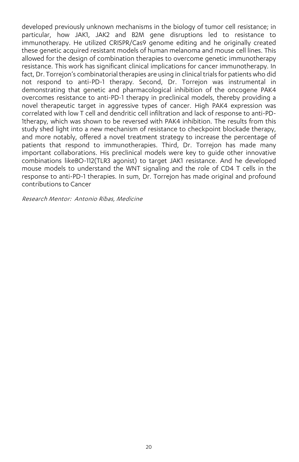developed previously unknown mechanisms in the biology of tumor cell resistance; in particular, how JAK1, JAK2 and B2M gene disruptions led to resistance to immunotherapy. He utilized CRISPR/Cas9 genome editing and he originally created these genetic acquired resistant models of human melanoma and mouse cell lines. This allowed for the design of combination therapies to overcome genetic immunotherapy resistance. This work has significant clinical implications for cancer immunotherapy. In fact, Dr. Torrejon's combinatorial therapies are using in clinical trials for patients who did not respond to anti-PD-1 therapy. Second, Dr. Torrejon was instrumental in demonstrating that genetic and pharmacological inhibition of the oncogene PAK4 overcomes resistance to anti-PD-1 therapy in preclinical models, thereby providing a novel therapeutic target in aggressive types of cancer. High PAK4 expression was correlated with low T cell and dendritic cell infiltration and lack of response to anti-PD-1therapy, which was shown to be reversed with PAK4 inhibition. The results from this study shed light into a new mechanism of resistance to checkpoint blockade therapy, and more notably, offered a novel treatment strategy to increase the percentage of patients that respond to immunotherapies. Third, Dr. Torrejon has made many important collaborations. His preclinical models were key to guide other innovative combinations likeBO-112(TLR3 agonist) to target JAK1 resistance. And he developed mouse models to understand the WNT signaling and the role of CD4 T cells in the response to anti-PD-1 therapies. In sum, Dr. Torrejon has made original and profound contributions to Cancer

Research Mentor: Antonio Ribas, Medicine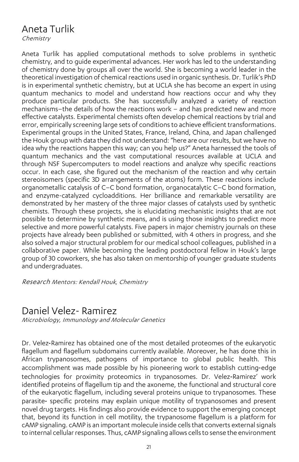### Aneta Turlik

**Chemistry** 

Aneta Turlik has applied computational methods to solve problems in synthetic chemistry, and to guide experimental advances. Her work has led to the understanding of chemistry done by groups all over the world. She is becoming a world leader in the theoretical investigation of chemical reactions used in organic synthesis. Dr. Turlik's PhD is in experimental synthetic chemistry, but at UCLA she has become an expert in using quantum mechanics to model and understand how reactions occur and why they produce particular products. She has successfully analyzed a variety of reaction mechanisms–the details of how the reactions work – and has predicted new and more effective catalysts. Experimental chemists often develop chemical reactions by trial and error, empirically screening large sets of conditions to achieve efficient transformations. Experimental groups in the United States, France, Ireland, China, and Japan challenged the Houk group with data they did not understand: "here are our results, but we have no idea why the reactions happen this way; can you help us?" Aneta harnessed the tools of quantum mechanics and the vast computational resources available at UCLA and through NSF Supercomputers to model reactions and analyze why specific reactions occur. In each case, she figured out the mechanism of the reaction and why certain stereoisomers (specific 3D arrangements of the atoms) form. These reactions include organometallic catalysis of C–C bond formation, organocatalytic C–C bond formation, and enzyme-catalyzed cycloadditions. Her brilliance and remarkable versatility are demonstrated by her mastery of the three major classes of catalysts used by synthetic chemists. Through these projects, she is elucidating mechanistic insights that are not possible to determine by synthetic means, and is using those insights to predict more selective and more powerful catalysts. Five papers in major chemistry journals on these projects have already been published or submitted, with 4 others in progress, and she also solved a major structural problem for our medical school colleagues, published in a collaborative paper. While becoming the leading postdoctoral fellow in Houk's large group of 30 coworkers, she has also taken on mentorship of younger graduate students and undergraduates.

Research Mentors: Kendall Houk, Chemistry

#### Daniel Velez- Ramirez

Microbiology, Immunology and Molecular Genetics

Dr. Velez‐Ramirez has obtained one of the most detailed proteomes of the eukaryotic flagellum and flagellum subdomains currently available. Moreover, he has done this in African trypanosomes, pathogens of importance to global public health. This accomplishment was made possible by his pioneering work to establish cutting‐edge technologies for proximity proteomics in trypanosomes. Dr. Velez‐Ramirez' work identified proteins of flagellum tip and the axoneme, the functional and structural core of the eukaryotic flagellum, including several proteins unique to trypanosomes. These parasite- specific proteins may explain unique motility of trypanosomes and present novel drug targets. His findings also provide evidence to support the emerging concept that, beyond its function in cell motility, the trypanosome flagellum is a platform for cAMP signaling. cAMP is an important molecule inside cells that converts external signals to internal cellular responses. Thus, cAMP signaling allows cells to sense the environment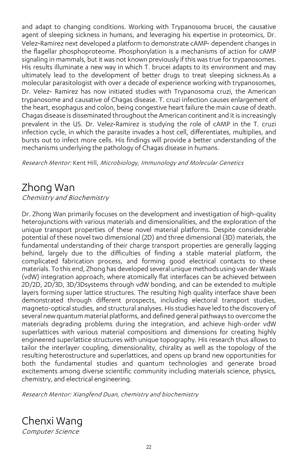and adapt to changing conditions. Working with Trypanosoma brucei, the causative agent of sleeping sickness in humans, and leveraging his expertise in proteomics, Dr. Velez‐Ramirez next developed a platform to demonstrate cAMP‐ dependent changes in the flagellar phosphoproteome. Phosphorylation is a mechanisms of action for cAMP signaling in mammals, but it was not known previously if this was true for trypanosomes. His results illuminate a new way in which T. brucei adapts to its environment and may ultimately lead to the development of better drugs to treat sleeping sickness.As a molecular parasitologist with over a decade of experience working with trypanosomes, Dr. Velez- Ramirez has now initiated studies with Trypanosoma cruzi, the American trypanosome and causative of Chagas disease. T. cruzi infection causes enlargement of the heart, esophagus and colon, being congestive heart failure the main cause of death. Chagas disease is disseminated throughout the American continent and it is increasingly prevalent in the US. Dr. Velez‐Ramirez is studying the role of cAMP in the T. cruzi infection cycle, in which the parasite invades a host cell, differentiates, multiplies, and bursts out to infect more cells. His findings will provide a better understanding of the mechanisms underlying the pathology of Chagas disease in humans.

Research Mentor: Kent Hill, Microbiology, Immunology and Molecular Genetics

### Zhong Wan

Chemistry and Biochemistry

Dr. Zhong Wan primarily focuses on the development and investigation of high-quality heterojunctions with various materials and dimensionalities, and the exploration of the unique transport properties of these novel material platforms. Despite considerable potential of these novel two dimensional (2D) and three dimensional (3D) materials, the fundamental understanding of their charge transport properties are generally lagging behind, largely due to the difficulties of finding a stable material platform, the complicated fabrication process, and forming good electrical contacts to these materials. To this end, Zhong has developed several unique methods using van der Waals (vdW) integration approach, where atomically flat interfaces can be achieved between 2D/2D, 2D/3D, 3D/3Dsystems through vdW bonding, and can be extended to multiple layers forming super lattice structures. The resulting high quality interface shave been demonstrated through different prospects, including electoral transport studies, magneto-optical studies, and structural analyses. Hisstudies have led to the discovery of several newquantum material platforms, and defined general pathwaysto overcome the materials degrading problems during the integration, and achieve high-order vdW superlattices with various material compositions and dimensions for creating highly engineered superlattice structures with unique topography. His research thus allows to tailor the interlayer coupling, dimensionality, chirality as well as the topology of the resulting heterostructure and superlattices, and opens up brand new opportunities for both the fundamental studies and quantum technologies and generate broad excitements among diverse scientific community including materials science, physics, chemistry, and electrical engineering.

Research Mentor: Xiangfend Duan, chemistry and biochemistry

Chenxi Wang Computer Science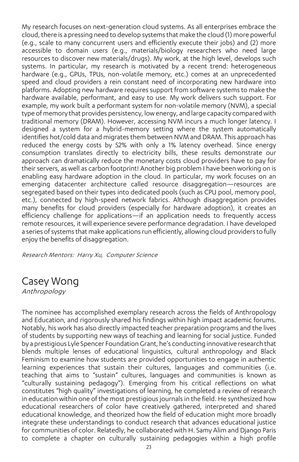My research focuses on next-generation cloud systems. As all enterprises embrace the cloud, there is a pressing need to develop systems that make the cloud (1) more powerful (e.g., scale to many concurrent users and efficiently execute their jobs) and (2) more accessible to domain users (e.g., materials/biology researchers who need large resources to discover new materials/drugs). My work, at the high level, develops such systems. In particular, my research is motivated by a recent trend: heterogeneous hardware (e.g., GPUs, TPUs, non-volatile memory, etc.) comes at an unprecedented speed and cloud providers a rein constant need of incorporating new hardware into platforms. Adopting new hardware requires support from software systems to make the hardware available, performant, and easy to use. My work delivers such support. For example, my work built a performant system for non-volatile memory (NVM), a special type ofmemory that provides persistency, low energy, and large capacity compared with traditional memory (DRAM). However, accessing NVM incurs a much longer latency. I designed a system for a hybrid-memory setting where the system automatically identifies hot/cold data and migrates them between NVM and DRAM. This approach has reduced the energy costs by 52% with only a 1% latency overhead. Since energy consumption translates directly to electricity bills, these results demonstrate our approach can dramatically reduce the monetary costs cloud providers have to pay for their servers, as well as carbon footprint! Another big problem I have been working on is enabling easy hardware adoption in the cloud. In particular, my work focuses on an emerging datacenter architecture called resource disaggregation—resources are segregated based on their types into dedicated pools (such as CPU pool, memory pool, etc.), connected by high-speed network fabrics. Although disaggregation provides many benefits for cloud providers (especially for hardware adoption), it creates an efficiency challenge for applications—if an application needs to frequently access remote resources, it will experience severe performance degradation. I have developed a series of systems that make applications run efficiently, allowing cloud providers to fully enjoy the benefits of disaggregation.

Research Mentors: Harry Xu, Computer Science

# Casey Wong

Anthropology

The nominee has accomplished exemplary research across the fields of Anthropology and Education, and rigorously shared his findings within high impact academic forums. Notably, his work has also directly impacted teacher preparation programs and the lives of students by supporting new ways of teaching and learning for social justice. Funded by a prestigious Lyle Spencer Foundation Grant, he's conducting innovative research that blends multiple lenses of educational linguistics, cultural anthropology and Black Feminism to examine how students are provided opportunities to engage in authentic learning experiences that sustain their cultures, languages and communities (i.e. teaching that aims to "sustain" cultures, languages and communities is known as "culturally sustaining pedagogy"). Emerging from his critical reflections on what constitutes "high quality" investigations of learning, he completed a review of research in education within one of the most prestigious journals in the field. He synthesized how educational researchers of color have creatively gathered, interpreted and shared educational knowledge, and theorized how the field of education might more broadly integrate these understandings to conduct research that advances educational justice for communities of color. Relatedly, he collaborated with H. Samy Alim and Django Paris to complete a chapter on culturally sustaining pedagogies within a high profile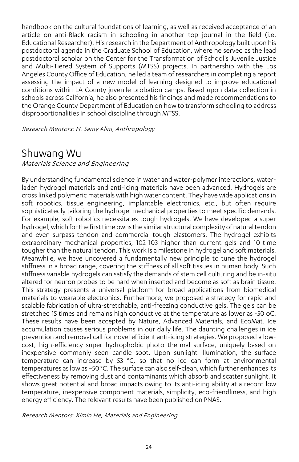handbook on the cultural foundations of learning, as well as received acceptance of an article on anti-Black racism in schooling in another top journal in the field (i.e. Educational Researcher). Hisresearch in the Department of Anthropology built upon his postdoctoral agenda in the Graduate School of Education, where he served as the lead postdoctoral scholar on the Center for the Transformation of School's Juvenile Justice and Multi-Tiered System of Supports (MTSS) projects. In partnership with the Los Angeles County Office of Education, he led a team of researchers in completing a report assessing the impact of a new model of learning designed to improve educational conditions within LA County juvenile probation camps. Based upon data collection in schools across California, he also presented his findings and made recommendations to the Orange County Department of Education on how to transform schooling to address disproportionalities in school discipline through MTSS.

Research Mentors: H. Samy Alim, Anthropology

### Shuwang Wu

Materials Science and Engineering

By understanding fundamental science in water and water-polymer interactions, waterladen hydrogel materials and anti-icing materials have been advanced. Hydrogels are crosslinked polymeric materials with high water content. They have wide applications in soft robotics, tissue engineering, implantable electronics, etc., but often require sophisticatedly tailoring the hydrogel mechanical properties to meet specific demands. For example, soft robotics necessitates tough hydrogels. We have developed a super hydrogel, which for the first time owns the similar structural complexity of natural tendon and even surpass tendon and commercial tough elastomers. The hydrogel exhibits extraordinary mechanical properties, 102-103 higher than current gels and 10-time tougher than the natural tendon. This work is a milestone in hydrogel and soft materials. Meanwhile, we have uncovered a fundamentally new principle to tune the hydrogel stiffness in a broad range, covering the stiffness of all soft tissues in human body. Such stiffness variable hydrogels can satisfy the demands of stem cell culturing and be in-situ altered for neuron probes to be hard when inserted and become as soft as brain tissue. This strategy presents a universal platform for broad applications from biomedical materials to wearable electronics. Furthermore, we proposed a strategy for rapid and scalable fabrication of ultra-stretchable, anti-freezing conductive gels. The gels can be stretched 15 times and remains high conductive at the temperature as lower as -50 oC. These results have been accepted by Nature, Advanced Materials, and EcoMat. Ice accumulation causes serious problems in our daily life. The daunting challenges in ice prevention and removal call for novel efficient anti-icing strategies. We proposed a lowcost, high-efficiency super hydrophobic photo thermal surface, uniquely based on inexpensive commonly seen candle soot. Upon sunlight illumination, the surface temperature can increase by 53 °C, so that no ice can form at environmental temperatures as low as −50 °C. The surface can also self-clean, which further enhances its effectiveness by removing dust and contaminants which absorb and scatter sunlight. It shows great potential and broad impacts owing to its anti-icing ability at a record low temperature, inexpensive component materials, simplicity, eco-friendliness, and high energy efficiency. The relevant results have been published on PNAS.

Research Mentors: Ximin He, Materials and Engineering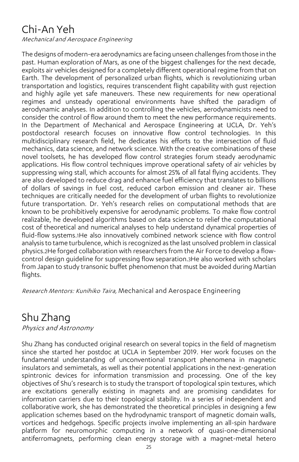# Chi-An Yeh

Mechanical and Aerospace Engineering

The designs of modern-era aerodynamics are facing unseen challenges from those in the past. Human exploration of Mars, as one of the biggest challenges for the next decade, exploits air vehicles designed for a completely different operational regime from that on Earth. The development of personalized urban flights, which is revolutionizing urban transportation and logistics, requires transcendent flight capability with gust rejection and highly agile yet safe maneuvers. These new requirements for new operational regimes and unsteady operational environments have shifted the paradigm of aerodynamic analyses. In addition to controlling the vehicles, aerodynamicists need to consider the control of flow around them to meet the new performance requirements. In the Department of Mechanical and Aerospace Engineering at UCLA, Dr. Yeh's postdoctoral research focuses on innovative flow control technologies. In this multidisciplinary research field, he dedicates his efforts to the intersection of fluid mechanics, data science, and network science. With the creative combinations of these novel toolsets, he has developed flow control strategies forum steady aerodynamic applications. His flow control techniques improve operational safety of air vehicles by suppressing wing stall, which accounts for almost 25% of all fatal flying accidents. They are also developed to reduce drag and enhance fuel efficiency that translates to billions of dollars of savings in fuel cost, reduced carbon emission and cleaner air. These techniques are critically needed for the development of urban flights to revolutionize future transportation. Dr. Yeh's research relies on computational methods that are known to be prohibitively expensive for aerodynamic problems. To make flow control realizable, he developed algorithms based on data science to relief the computational cost of theoretical and numerical analyses to help understand dynamical properties of fluid-flow systems.1He also innovatively combined network science with flow control analysis to tame turbulence, which is recognized as the last unsolved problem in classical physics.2He forged collaboration with researchers from the Air Force to develop a flowcontrol design guideline for suppressing flow separation.3He also worked with scholars from Japan to study transonic buffet phenomenon that must be avoided during Martian flights.

Research Mentors: Kunihiko Taira, Mechanical and Aerospace Engineering

# Shu Zhang

Physics and Astronomy

Shu Zhang has conducted original research on several topics in the field of magnetism since she started her postdoc at UCLA in September 2019. Her work focuses on the fundamental understanding of unconventional transport phenomena in magnetic insulators and semimetals, as well as their potential applications in the next-generation spintronic devices for information transmission and processing. One of the key objectives of Shu's research is to study the transport of topological spin textures, which are excitations generally existing in magnets and are promising candidates for information carriers due to their topological stability. In a series of independent and collaborative work, she has demonstrated the theoretical principles in designing a few application schemes based on the hydrodynamic transport of magnetic domain walls, vortices and hedgehogs. Specific projects involve implementing an all-spin hardware platform for neuromorphic computing in a network of quasi-one-dimensional antiferromagnets, performing clean energy storage with a magnet-metal hetero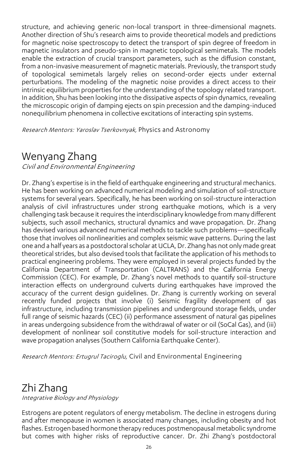structure, and achieving generic non-local transport in three-dimensional magnets. Another direction of Shu's research aims to provide theoretical models and predictions for magnetic noise spectroscopy to detect the transport of spin degree of freedom in magnetic insulators and pseudo-spin in magnetic topological semimetals. The models enable the extraction of crucial transport parameters, such as the diffusion constant, from a non-invasive measurement of magnetic materials. Previously, the transport study of topological semimetals largely relies on second-order ejects under external perturbations. The modeling of the magnetic noise provides a direct access to their intrinsic equilibrium properties for the understanding of the topology related transport. In addition, Shu has been looking into the dissipative aspects of spin dynamics, revealing the microscopic origin of damping ejects on spin precession and the damping-induced nonequilibrium phenomena in collective excitations of interacting spin systems.

Research Mentors: Yaroslav Tserkovnyak, Physics and Astronomy

# Wenyang Zhang

Civil and Environmental Engineering

Dr. Zhang's expertise is in the field of earthquake engineering and structural mechanics. He has been working on advanced numerical modeling and simulation of soil-structure systems for several years. Specifically, he has been working on soil-structure interaction analysis of civil infrastructures under strong earthquake motions, which is a very challenging task because it requires the interdisciplinary knowledge from many different subjects, such assoil mechanics, structural dynamics and wave propagation. Dr. Zhang has devised various advanced numerical methods to tackle such problems—specifically those that involves oil nonlinearities and complex seismic wave patterns. During the last one and a half years as a postdoctoral scholar at UCLA, Dr. Zhang has not only made great theoretical strides, but also devised tools that facilitate the application of his methods to practical engineering problems. They were employed in several projects funded by the California Department of Transportation (CALTRANS) and the California Energy Commission (CEC). For example, Dr. Zhang's novel methods to quantify soil-structure interaction effects on underground culverts during earthquakes have improved the accuracy of the current design guidelines. Dr. Zhang is currently working on several recently funded projects that involve (i) Seismic fragility development of gas infrastructure, including transmission pipelines and underground storage fields, under full range of seismic hazards (CEC) (ii) performance assessment of natural gas pipelines in areas undergoing subsidence from the withdrawal of water or oil (SoCal Gas), and (iii) development of nonlinear soil constitutive models for soil-structure interaction and wave propagation analyses (Southern California Earthquake Center).

Research Mentors: Ertugrul Taciroglu, Civil and Environmental Engineering

### Zhi Zhang

Integrative Biology and Physiology

Estrogens are potent regulators of energy metabolism. The decline in estrogens during and after menopause in women is associated many changes, including obesity and hot flashes. Estrogen based hormone therapy reduces postmenopausal metabolic syndrome but comes with higher risks of reproductive cancer. Dr. Zhi Zhang's postdoctoral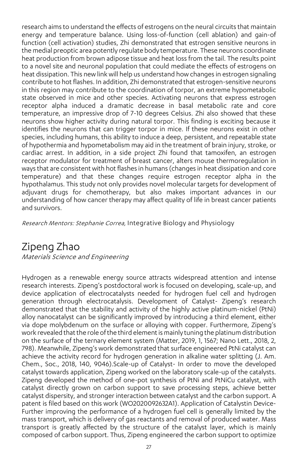research aims to understand the effects of estrogens on the neural circuits that maintain energy and temperature balance. Using loss-of-function (cell ablation) and gain-of function (cell activation) studies, Zhi demonstrated that estrogen sensitive neurons in the medial preoptic area potently regulate body temperature. These neurons coordinate heat production from brown adipose tissue and heat loss from the tail. The results point to a novel site and neuronal population that could mediate the effects of estrogens on heat dissipation. This new link will help us understand how changes in estrogen signaling contribute to hot flashes. In addition, Zhi demonstrated that estrogen-sensitive neurons in this region may contribute to the coordination of torpor, an extreme hypometabolic state observed in mice and other species. Activating neurons that express estrogen receptor alpha induced a dramatic decrease in basal metabolic rate and core temperature, an impressive drop of 7-10 degrees Celsius. Zhi also showed that these neurons show higher activity during natural torpor. This finding is exciting because it identifies the neurons that can trigger torpor in mice. If these neurons exist in other species, including humans, this ability to induce a deep, persistent, and repeatable state of hypothermia and hypometabolism may aid in the treatment of brain injury, stroke, or cardiac arrest. In addition, in a side project Zhi found that tamoxifen, an estrogen receptor modulator for treatment of breast cancer, alters mouse thermoregulation in ways that are consistent with hot flashes in humans (changes in heat dissipation and core temperature) and that these changes require estrogen receptor alpha in the hypothalamus. This study not only provides novel molecular targets for development of adjuvant drugs for chemotherapy, but also makes important advances in our understanding of how cancer therapy may affect quality of life in breast cancer patients and survivors.

Research Mentors: Stephanie Correa, Integrative Biology and Physiology

### Zipeng Zhao

Materials Science and Engineering

Hydrogen as a renewable energy source attracts widespread attention and intense research interests. Zipeng's postdoctoral work is focused on developing, scale-up, and device application of electrocatalysts needed for hydrogen fuel cell and hydrogen generation through electrocatalysis. Development of Catalyst- Zipeng's research demonstrated that the stability and activity of the highly active platinum-nickel (PtNi) alloy nanocatalyst can be significantly improved by introducing a third element, either via dope molybdenum on the surface or alloying with copper. Furthermore, Zipeng's work revealed that the role ofthe third element is mainly tuning the platinum distribution on the surface of the ternary element system (Matter, 2019, 1, 1567; Nano Lett., 2018, 2, 798). Meanwhile, Zipeng's work demonstrated that surface engineered PtNi catalyst can achieve the activity record for hydrogen generation in alkaline water splitting (J. Am. Chem., Soc., 2018, 140, 9046).Scale-up of Catalyst- In order to move the developed catalyst towards application, Zipeng worked on the laboratory scale-up of the catalysts. Zipeng developed the method of one-pot synthesis of PtNi and PtNiCu catalyst, with catalyst directly grown on carbon support to save processing steps, achieve better catalyst dispersity, and stronger interaction between catalyst and the carbon support. A patent is filed based on this work (WO2020092632A1). Application of Catalystin Device-Further improving the performance of a hydrogen fuel cell is generally limited by the mass transport, which is delivery of gas reactants and removal of produced water. Mass transport is greatly affected by the structure of the catalyst layer, which is mainly composed of carbon support. Thus, Zipeng engineered the carbon support to optimize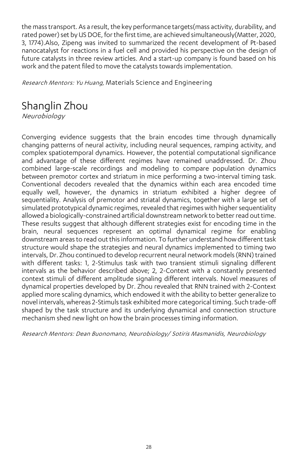the mass transport. As a result, the key performance targets(mass activity, durability, and rated power) set by US DOE, for the first time, are achieved simultaneously(Matter, 2020, 3, 1774).Also, Zipeng was invited to summarized the recent development of Pt-based nanocatalyst for reactions in a fuel cell and provided his perspective on the design of future catalysts in three review articles. And a start-up company is found based on his work and the patent filed to move the catalysts towards implementation.

Research Mentors: Yu Huang, Materials Science and Engineering

# Shanglin Zhou

Neurobiology

Converging evidence suggests that the brain encodes time through dynamically changing patterns of neural activity, including neural sequences, ramping activity, and complex spatiotemporal dynamics. However, the potential computational significance and advantage of these different regimes have remained unaddressed. Dr. Zhou combined large-scale recordings and modeling to compare population dynamics between premotor cortex and striatum in mice performing a two-interval timing task. Conventional decoders revealed that the dynamics within each area encoded time equally well, however, the dynamics in striatum exhibited a higher degree of sequentiality. Analysis of premotor and striatal dynamics, together with a large set of simulated prototypical dynamic regimes, revealed that regimes with higher sequentiality allowed a biologically-constrained artificial downstream network to better read out time. These results suggest that although different strategies exist for encoding time in the brain, neural sequences represent an optimal dynamical regime for enabling downstream areas to read out this information. To further understand how different task structure would shape the strategies and neural dynamics implemented to timing two intervals, Dr. Zhou continued to develop recurrent neural network models (RNN) trained with different tasks: 1, 2-Stimulus task with two transient stimuli signaling different intervals as the behavior described above; 2, 2-Context with a constantly presented context stimuli of different amplitude signaling different intervals. Novel measures of dynamical properties developed by Dr. Zhou revealed that RNN trained with 2-Context applied more scaling dynamics, which endowed it with the ability to better generalize to novel intervals, whereas 2-Stimuls task exhibited more categorical timing. Such trade-off shaped by the task structure and its underlying dynamical and connection structure mechanism shed new light on how the brain processes timing information.

Research Mentors: Dean Buonomano, Neurobiology/ Sotiris Masmanidis, Neurobiology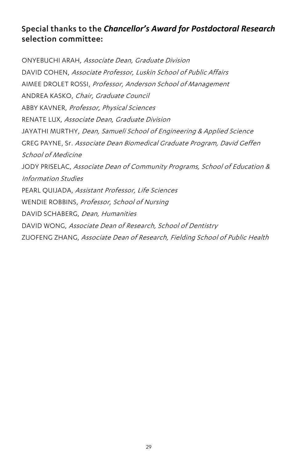#### Special thanks to the *Chancellor's Award for Postdoctoral Research* selection committee:

ONYEBUCHI ARAH, Associate Dean, Graduate Division DAVID COHEN, Associate Professor, Luskin School of Public Affairs AIMEE DROLET ROSSI, Professor, Anderson School of Management ANDREA KASKO, Chair, Graduate Council ABBY KAVNER, Professor, Physical Sciences RENATE LUX, Associate Dean, Graduate Division JAYATHI MURTHY, Dean, Samueli School of Engineering & Applied Science GREG PAYNE, Sr. Associate Dean Biomedical Graduate Program, David Geffen School of Medicine JODY PRISELAC, Associate Dean of Community Programs, School of Education & Information Studies PEARL QUIJADA, Assistant Professor, Life Sciences WENDIE ROBBINS, Professor, School of Nursing DAVID SCHABERG, Dean, Humanities DAVID WONG, Associate Dean of Research, School of Dentistry ZUOFENG ZHANG, Associate Dean of Research, Fielding School of Public Health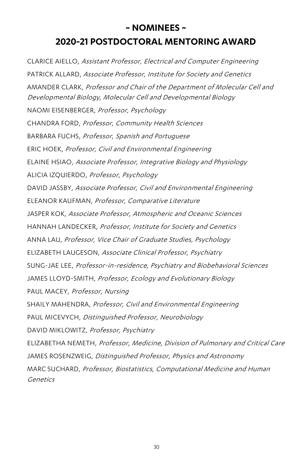### **~ NOMINEES ~ 2020-21 POSTDOCTORAL MENTORING AWARD**

CLARICE AIELLO, Assistant Professor, Electrical and Computer Engineering PATRICK ALLARD, Associate Professor, Institute for Society and Genetics AMANDER CLARK, Professor and Chair of the Department of Molecular Cell and Developmental Biology, Molecular Cell and Developmental Biology NAOMI EISENBERGER, Professor, Psychology CHANDRA FORD, Professor, Community Health Sciences BARBARA FUCHS, Professor, Spanish and Portuguese ERIC HOEK, Professor, Civil and Environmental Engineering ELAINE HSIAO, Associate Professor, Integrative Biology and Physiology ALICIA IZQUIERDO, Professor, Psychology DAVID JASSBY, Associate Professor, Civil and Environmental Engineering ELEANOR KAUFMAN, Professor, Comparative Literature JASPER KOK, Associate Professor, Atmospheric and Oceanic Sciences HANNAH LANDECKER, Professor, Institute for Society and Genetics ANNA LAU, Professor, Vice Chair of Graduate Studies, Psychology ELIZABETH LAUGESON, Associate Clinical Professor, Psychiatry SUNG-JAE LEE, Professor-in-residence, Psychiatry and Biobehavioral Sciences JAMES LLOYD-SMITH, Professor, Ecology and Evolutionary Biology PAUL MACEY, Professor, Nursing SHAILY MAHENDRA, Professor, Civil and Environmental Engineering PAUL MICEVYCH, Distinguished Professor, Neurobiology DAVID MIKLOWITZ, Professor, Psychiatry ELIZABETHA NEMETH, Professor, Medicine, Division of Pulmonary and Critical Care JAMES ROSENZWEIG, Distinguished Professor, Physics and Astronomy MARC SUCHARD, Professor, Biostatistics, Computational Medicine and Human **Genetics**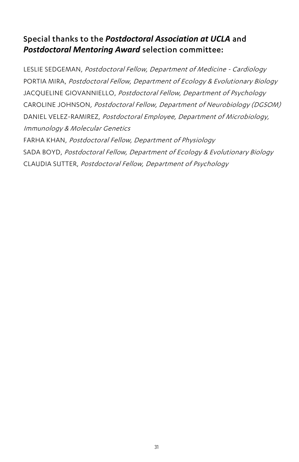#### Special thanks to the *Postdoctoral Association at UCLA* and *Postdoctoral Mentoring Award* selection committee:

LESLIE SEDGEMAN, Postdoctoral Fellow, Department of Medicine - Cardiology PORTIA MIRA, Postdoctoral Fellow, Department of Ecology & Evolutionary Biology JACQUELINE GIOVANNIELLO, Postdoctoral Fellow, Department of Psychology CAROLINE JOHNSON, Postdoctoral Fellow, Department of Neurobiology (DGSOM) DANIEL VELEZ-RAMIREZ, Postdoctoral Employee, Department of Microbiology, Immunology & Molecular Genetics FARHA KHAN, Postdoctoral Fellow, Department of Physiology SADA BOYD, Postdoctoral Fellow, Department of Ecology & Evolutionary Biology CLAUDIA SUTTER, Postdoctoral Fellow, Department of Psychology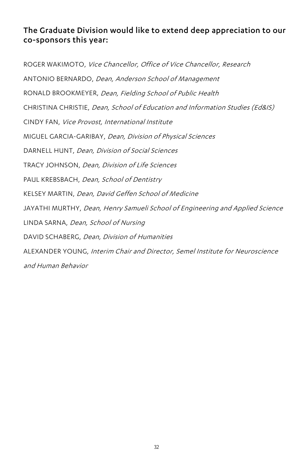#### The Graduate Division would like to extend deep appreciation to our co-sponsors this year:

ROGER WAKIMOTO, Vice Chancellor, Office of Vice Chancellor, Research ANTONIO BERNARDO, Dean, Anderson School of Management RONALD BROOKMEYER, Dean, Fielding School of Public Health CHRISTINA CHRISTIE, Dean, School of Education and Information Studies (Ed&IS) CINDY FAN, Vice Provost, International Institute MIGUEL GARCIA-GARIBAY, Dean, Division of Physical Sciences DARNELL HUNT, Dean, Division of Social Sciences TRACY JOHNSON, Dean, Division of Life Sciences PAUL KREBSBACH, Dean, School of Dentistry KELSEY MARTIN, Dean, David Geffen School of Medicine JAYATHI MURTHY, Dean, Henry Samueli School of Engineering and Applied Science LINDA SARNA, Dean, School of Nursing DAVID SCHABERG, Dean, Division of Humanities ALEXANDER YOUNG, Interim Chair and Director, Semel Institute for Neuroscience and Human Behavior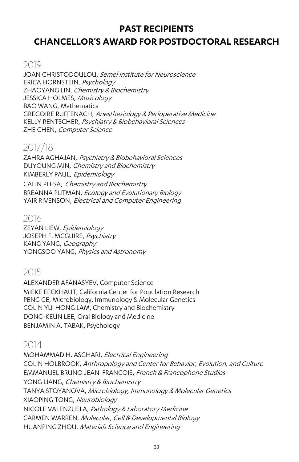#### **PAST RECIPIENTS**

### **CHANCELLOR'S AWARD FOR POSTDOCTORAL RESEARCH**

#### 2019

JOAN CHRISTODOULOU, Semel Institute for Neuroscience ERICA HORNSTEIN, Psychology ZHAOYANG LIN, Chemistry & Biochemistry JESSICA HOLMES, Musicology BAO WANG, Mathematics GREGOIRE RUFFENACH, Anesthesiology & Perioperative Medicine KELLY RENTSCHER, Psychiatry & Biobehavioral Sciences ZHE CHEN, Computer Science

### 2017/18

ZAHRA AGHAJAN, Psychiatry & Biobehavioral Sciences DUYOUNG MIN, Chemistry and Biochemistry KIMBERLY PAUL, Epidemiology CALIN PLESA, Chemistry and Biochemistry BREANNA PUTMAN, Ecology and Evolutionary Biology YAIR RIVENSON, Electrical and Computer Engineering

#### 2016

ZEYAN LIEW, Epidemiology JOSEPH F. MCGUIRE, Psychiatry KANG YANG, Geography YONGSOO YANG, Physics and Astronomy

# 2015

ALEXANDER AFANASYEV, Computer Science MIEKE EECKHAUT, California Center for Population Research PENG GE, Microbiology, Immunology & Molecular Genetics COLIN YU-HONG LAM, Chemistry and Biochemistry DONG-KEUN LEE, Oral Biology and Medicine BENJAMIN A. TABAK, Psychology

### 2014

MOHAMMAD H. ASGHARI, Electrical Engineering COLIN HOLBROOK, Anthropology and Center for Behavior, Evolution, and Culture EMMANUEL BRUNO JEAN-FRANCOIS, French & Francophone Studies YONG LIANG, Chemistry & Biochemistry TANYA STOYANOVA, Microbiology, Immunology & Molecular Genetics XIAOPING TONG, Neurobiology NICOLE VALENZUELA, Pathology & Laboratory Medicine CARMEN WARREN, Molecular, Cell & Developmental Biology HUANPING ZHOU, Materials Science and Engineering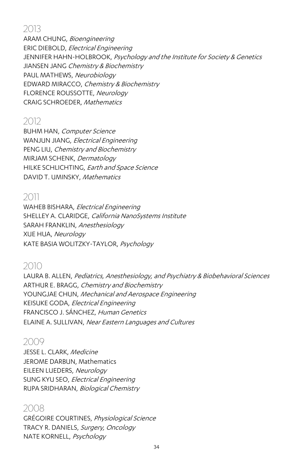### 2013

ARAM CHUNG, Bioengineering ERIC DIEBOLD, Electrical Engineering JENNIFER HAHN-HOLBROOK, Psychology and the Institute for Society & Genetics JIANSEN JANG Chemistry & Biochemistry PAUL MATHEWS, Neurobiology EDWARD MIRACCO, Chemistry & Biochemistry FLORENCE ROUSSOTTE, Neurology CRAIG SCHROEDER, Mathematics

### 2012

BUHM HAN, Computer Science WANJUN JIANG, Electrical Engineering PENG LIU, Chemistry and Biochemistry MIRJAM SCHENK, Dermatology HILKE SCHLICHTING, Earth and Space Science DAVID T. UMINSKY, Mathematics

### 2011

WAHEB BISHARA, Electrical Engineering SHELLEY A. CLARIDGE, California NanoSystems Institute SARAH FRANKLIN, Anesthesiology XUE HUA, Neurology KATE BASIA WOLITZKY-TAYLOR, Psychology

#### 2010

LAURA B. ALLEN, Pediatrics, Anesthesiology, and Psychiatry & Biobehavioral Sciences ARTHUR E. BRAGG, Chemistry and Biochemistry YOUNGJAE CHUN, Mechanical and Aerospace Engineering KEISUKE GODA, Electrical Engineering FRANCISCO J. SÁNCHEZ, Human Genetics ELAINE A. SULLIVAN, Near Eastern Languages and Cultures

#### 2009

JESSE L. CLARK, Medicine JEROME DARBUN, Mathematics EILEEN LUEDERS, Neurology SUNG KYU SEO, Electrical Engineering RUPA SRIDHARAN, Biological Chemistry

#### 2008

GRÉGOIRE COURTINES, Physiological Science TRACY R. DANIELS, Surgery, Oncology NATE KORNELL, Psychology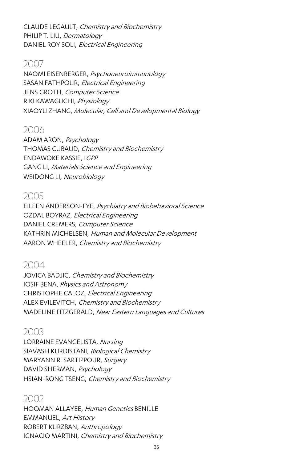CLAUDE LEGAULT, Chemistry and Biochemistry PHILIP T. LIU, Dermatology DANIEL ROY SOLI, Electrical Engineering

#### 2007

NAOMI EISENBERGER, Psychoneuroimmunology SASAN FATHPOUR, Electrical Engineering JENS GROTH, Computer Science RIKI KAWAGUCHI, Physiology XIAOYU ZHANG, Molecular, Cell and Developmental Biology

#### 2006

ADAM ARON, Psychology THOMAS CUBAUD, Chemistry and Biochemistry ENDAWOKE KASSIE, IGPP GANG LI, Materials Science and Engineering WEIDONG LI, Neurobiology

#### 2005

EILEEN ANDERSON-FYE, Psychiatry and Biobehavioral Science OZDAL BOYRAZ, Electrical Engineering DANIEL CREMERS, Computer Science KATHRIN MICHELSEN, Human and Molecular Development AARON WHEELER, Chemistry and Biochemistry

#### 2004

JOVICA BADJIC, Chemistry and Biochemistry IOSIF BENA, Physics and Astronomy CHRISTOPHE CALOZ, Electrical Engineering ALEX EVILEVITCH, Chemistry and Biochemistry MADELINE FITZGERALD, Near Eastern Languages and Cultures

#### 2003

LORRAINE EVANGELISTA, Nursing SIAVASH KURDISTANI, Biological Chemistry MARYANN R. SARTIPPOUR, Surgery DAVID SHERMAN, Psychology HSIAN-RONG TSENG, Chemistry and Biochemistry

#### 2002

HOOMAN ALLAYEE, Human Genetics BENILLE EMMANUEL, Art History ROBERT KURZBAN, Anthropology IGNACIO MARTINI, Chemistry and Biochemistry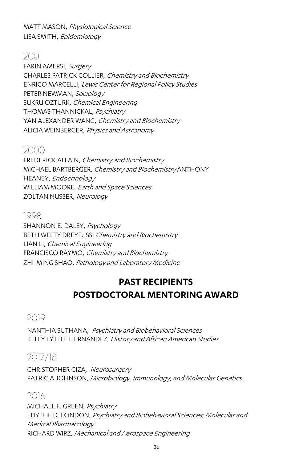MATT MASON, Physiological Science LISA SMITH, Epidemiology

#### 2001

FARIN AMERSI, Surgery CHARLES PATRICK COLLIER, Chemistry and Biochemistry ENRICO MARCELLI, Lewis Center for Regional Policy Studies PETER NEWMAN, Sociology SUKRU OZTURK, Chemical Engineering THOMAS THANNICKAL, Psychiatry YAN ALEXANDER WANG, Chemistry and Biochemistry ALICIA WEINBERGER, Physics and Astronomy

#### 2000

FREDERICK ALLAIN, Chemistry and Biochemistry MICHAEL BARTBERGER, Chemistry and Biochemistry ANTHONY HEANEY, Endocrinology WILLIAM MOORE, Earth and Space Sciences ZOLTAN NUSSER, Neurology

#### 1998

SHANNON E. DALEY, Psychology BETH WELTY DREYFUSS, Chemistry and Biochemistry LIAN LI, Chemical Engineering FRANCISCO RAYMO, Chemistry and Biochemistry ZHI-MING SHAO, Pathology and Laboratory Medicine

### **PAST RECIPIENTS POSTDOCTORAL MENTORING AWARD**

### 2019

NANTHIA SUTHANA, Psychiatry and Biobehavioral Sciences KELLY LYTTLE HERNANDEZ, History and African American Studies

### 2017/18

CHRISTOPHER GIZA, Neurosurgery PATRICIA JOHNSON, Microbiology, Immunology, and Molecular Genetics

#### 2016

MICHAEL F. GREEN, Psychiatry EDYTHE D. LONDON, Psychiatry and Biobehavioral Sciences; Molecular and Medical Pharmacology RICHARD WIRZ, Mechanical and Aerospace Engineering